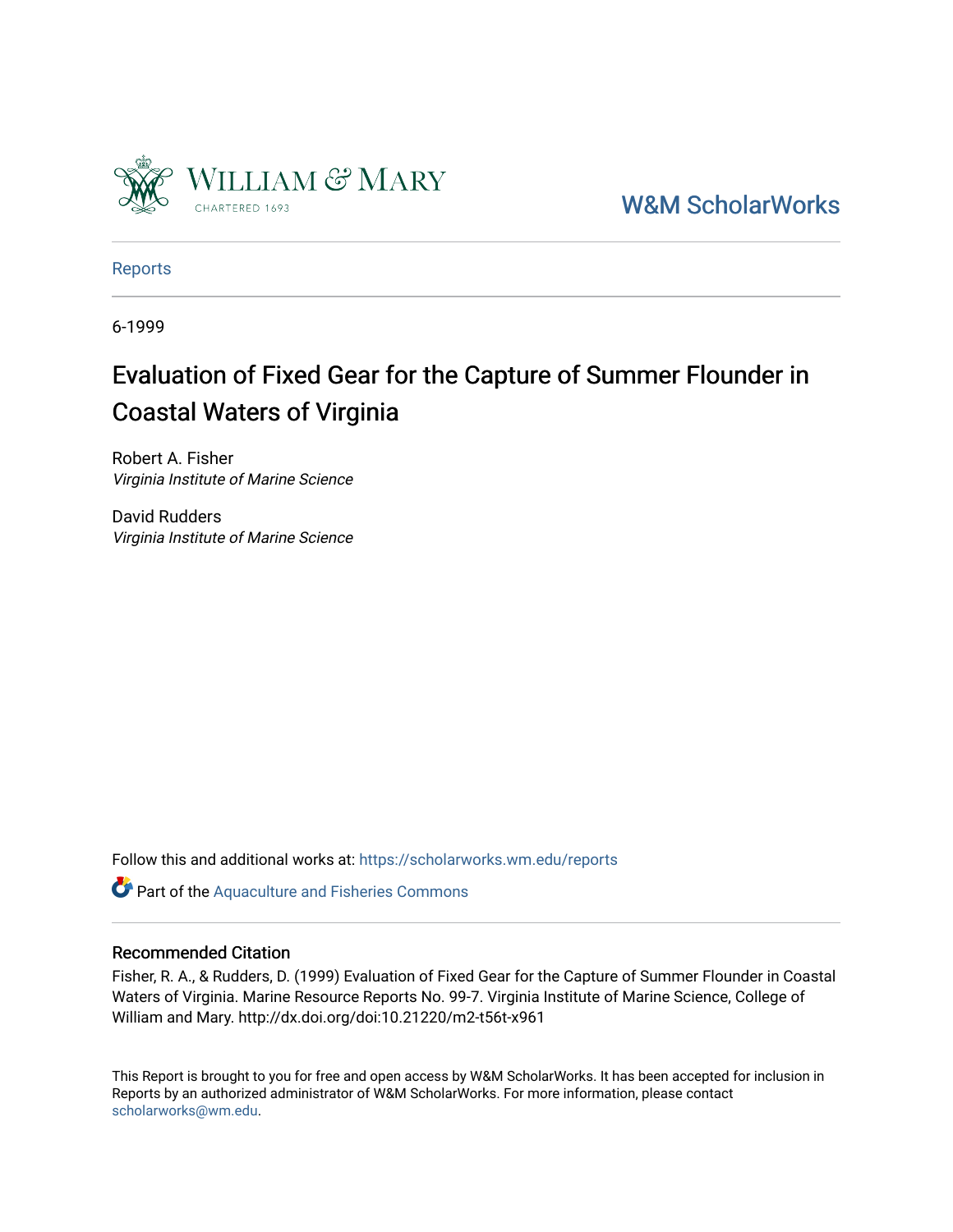

[W&M ScholarWorks](https://scholarworks.wm.edu/) 

[Reports](https://scholarworks.wm.edu/reports)

6-1999

# Evaluation of Fixed Gear for the Capture of Summer Flounder in Coastal Waters of Virginia

Robert A. Fisher Virginia Institute of Marine Science

David Rudders Virginia Institute of Marine Science

Follow this and additional works at: [https://scholarworks.wm.edu/reports](https://scholarworks.wm.edu/reports?utm_source=scholarworks.wm.edu%2Freports%2F1672&utm_medium=PDF&utm_campaign=PDFCoverPages)

Part of the [Aquaculture and Fisheries Commons](http://network.bepress.com/hgg/discipline/78?utm_source=scholarworks.wm.edu%2Freports%2F1672&utm_medium=PDF&utm_campaign=PDFCoverPages)

#### Recommended Citation

Fisher, R. A., & Rudders, D. (1999) Evaluation of Fixed Gear for the Capture of Summer Flounder in Coastal Waters of Virginia. Marine Resource Reports No. 99-7. Virginia Institute of Marine Science, College of William and Mary. http://dx.doi.org/doi:10.21220/m2-t56t-x961

This Report is brought to you for free and open access by W&M ScholarWorks. It has been accepted for inclusion in Reports by an authorized administrator of W&M ScholarWorks. For more information, please contact [scholarworks@wm.edu.](mailto:scholarworks@wm.edu)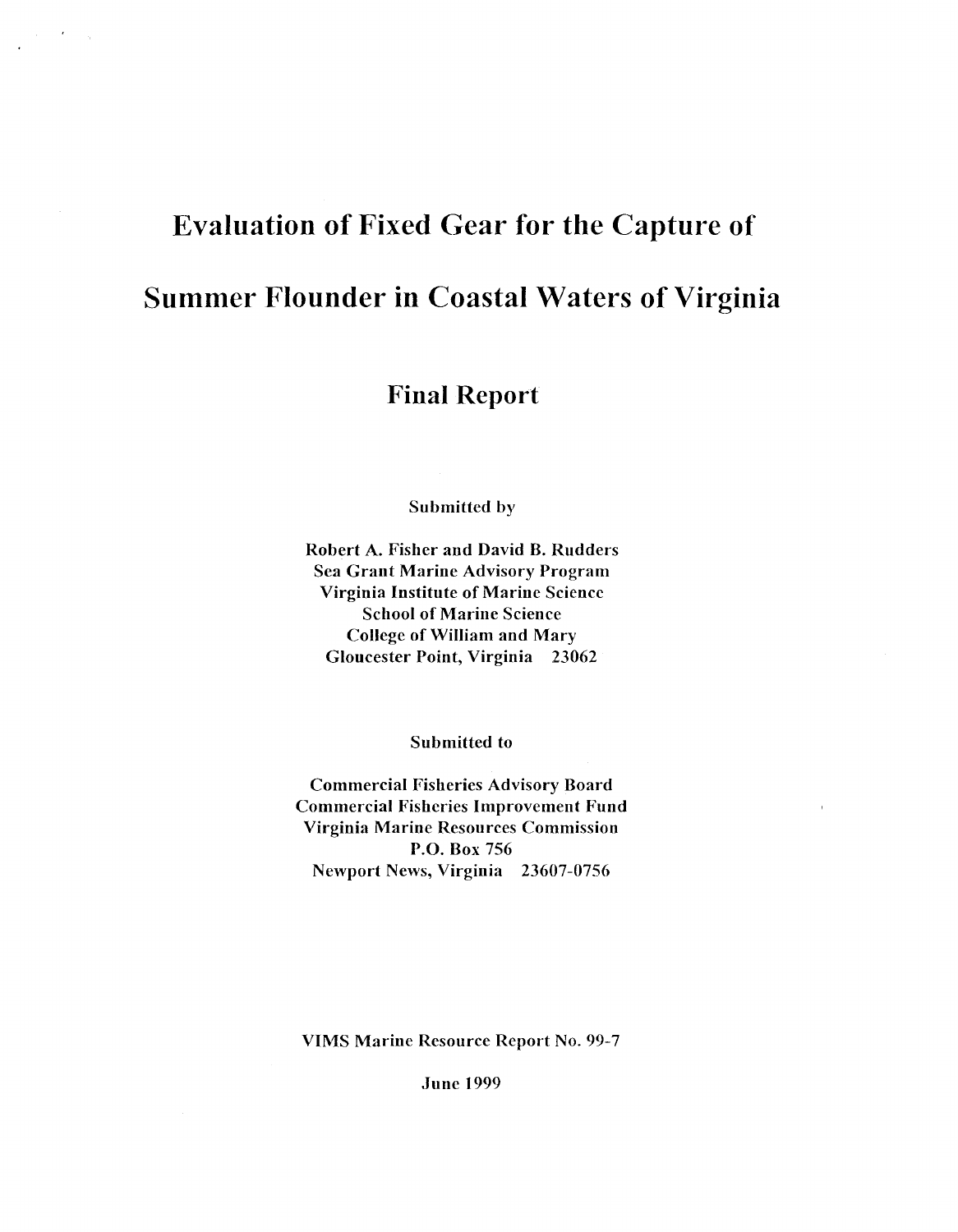# **Evaluation of Fixed Gear for the Capture of Summer Flounder in Coastal Waters of Virginia**

 $\gamma_{\rm f}$ 

## **:Final Report**

Submitted by

Robert A. Fisher and David B. Rudders Sea Grant Marine Advisory Program Virginia Institute of Marine Science School of Marine Science College of William and Mary Gloucester Point, Virginia 23062

Submitted to

Commercial Fisheries Advisory Board Commercial Fisheries Improvement Fund Virginia Marine Resources Commission **P.O.** Box 756 Newport News, Virginia 23607-0756

VIMS Marine Resource Report No. 99-7

June 1999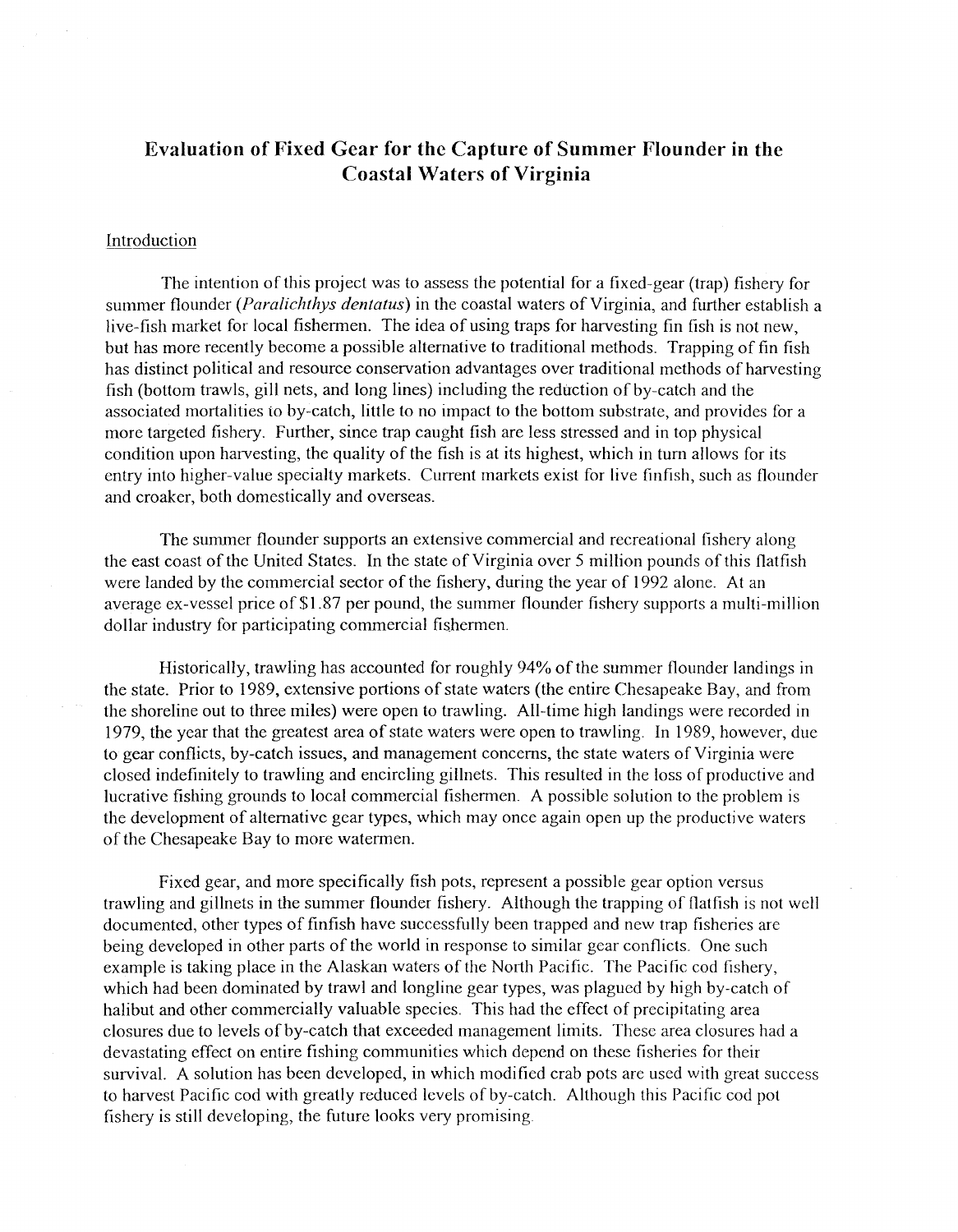### **Evaluation of Fixed Gear for the Capture of Summer Flounder in the Coastal Waters of Virginia**

#### Introduction

The intention of this project was to assess the potential for a fixed-gear (trap) fishery for summer flounder *(Paralichthys dentatus)* in the coastal waters of Virginia, and further establish a live-fish market for local fishermen. The idea of using traps for harvesting fin fish is not new, but has more recently become a possible alternative to traditional methods. Trapping of fin fish has distinct political and resource conservation advantages over traditional methods of harvesting fish (bottom trawls, gill nets, and long lines) including the reduction of by-catch and the associated mortalities io by-catch, little to no impact to the bottom substrate, and provides for a more targeted fishery. Further, since trap caught fish are less stressed and in top physical condition upon harvesting, the quality of the fish is at its highest, which in tum allows for its entry into higher-value specialty markets. Current markets exist for live finfish, such as flounder and croaker, both domestically and overseas.

The summer flounder supports an extensive commercial and recreational fishery along the east coast of the United States. In the state of Virginia over 5 million pounds of this flatfish were landed by the commercial sector of the fishery, during the year of 1992 alone. At an average ex-vessel price of \$1.87 per pound, the summer flounder fishery supports a multi-million dollar industry for participating commercial fishermen.

Historically, trawling has accounted for roughly 94% of the summer flounder landings in the state. Prior to 1989, extensive portions of state waters (the entire Chesapeake Bay, and from the shoreline out to three miles) were open to trawling. All-time high landings were recorded in 1979, the year that the greatest area of state waters were open to trawling. In 1989, however, due to gear conflicts, by-catch issues, and management concerns, the state waters of Virginia were closed indefinitely to trawling and encircling gillnets. This resulted in the loss of productive and lucrative fishing grounds to local commercial fishermen. A possible solution to the problem is the development of alternative gear types, which may once again open up the productive waters of the Chesapeake Bay to more watermen.

Fixed gear, and more specifically fish pots, represent a possible gear option versus trawling and gillnets in the summer flounder fishery. Although the trapping of flatfish is not well documented, other types of finfish have successfully been trapped and new trap fisheries are being developed in other parts of the world in response to similar gear conflicts. One such example is taking place in the Alaskan waters of the North Pacific. The Pacific cod fishery, which had been dominated by trawl and longline gear types, was plagued by high by-catch of halibut and other commercially valuable species. This had the effect of precipitating area closures due to levels of by-catch that exceeded management limits. These area closures had a devastating effect on entire fishing communities which depend on these fisheries for their survival. A solution has been developed, in which modified crab pots are used with great success to harvest Pacific cod with greatly reduced levels of by-catch. Although this Pacific cod pot fishery is still developing, the future looks very promising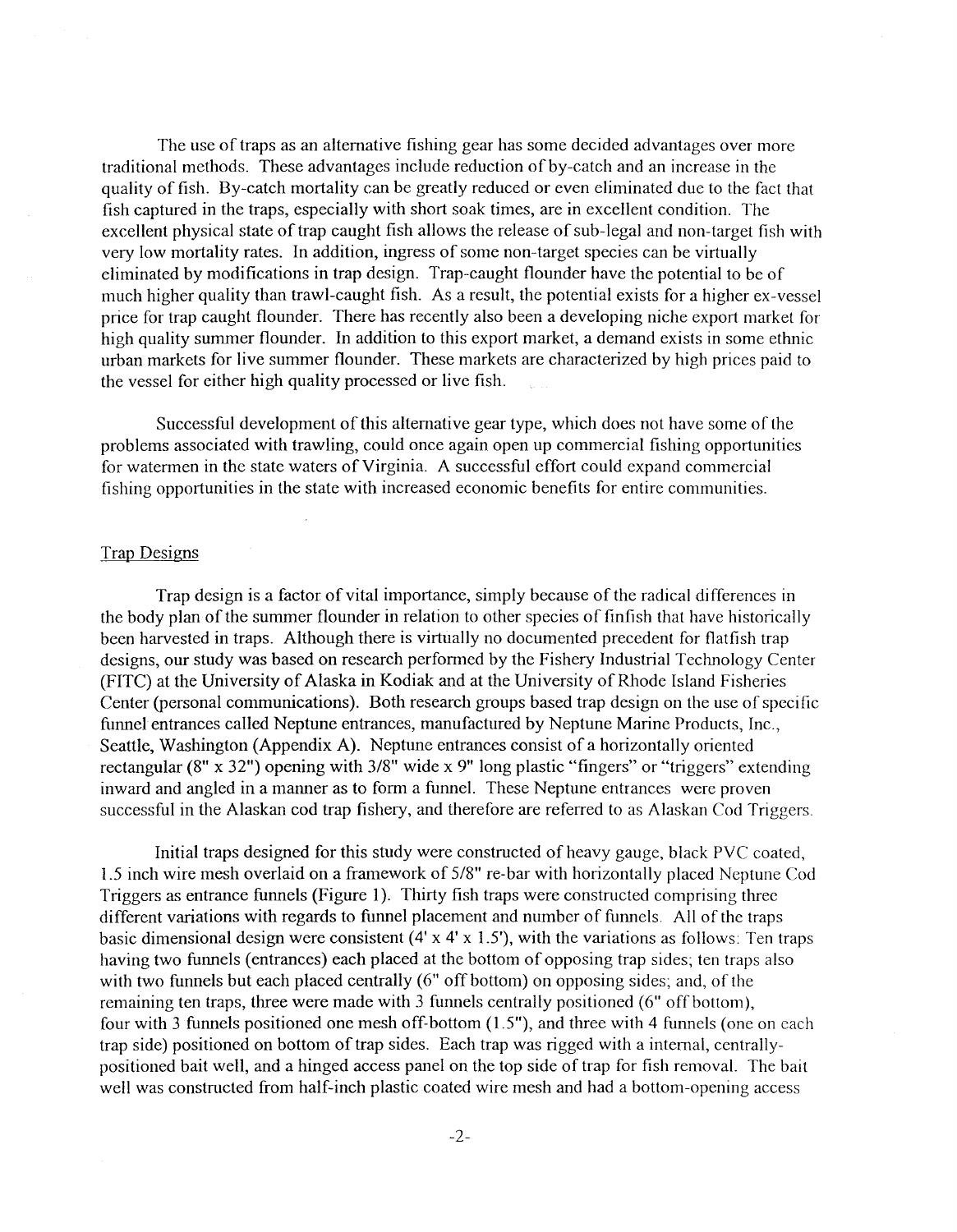The use of traps as an alternative fishing gear has some decided advantages over more traditional methods. These advantages include reduction of by-catch and an increase in the quality of fish. By-catch mortality can be greatly reduced or even eliminated due to the fact that fish captured in the traps, especially with short soak times, are in excellent condition. The excellent physical state of trap caught fish allows the release of sub-legal and non-target fish with very low mortality rates. In addition, ingress of some non-target species can be virtually eliminated by modifications in trap design. Trap--caught flounder have the potential to be of much higher quality than trawl-caught fish. As a result, the potential exists for a higher ex-vessel price for trap caught flounder. There has recently also been a developing niche export market for high quality summer flounder. In addition to this export market, a demand exists in some ethnic urban markets for live summer flounder. These markets are characterized by high prices paid to the vessel for either high quality processed or live fish.

Successful development of this alternative gear type, which does not have some of the problems associated with trawling, could once again open up commercial fishing opportunities for watennen in the state waters of Virginia. A successful effort could expand commercial fishing opportunities in the state with increased economic benefits for entire communities.

#### Trap Designs

Trap design is a factor of vital importance, simply because of the radical differences in the body plan of the summer flounder in relation to other species of finfish that have historically been harvested in traps. Although there is virtually no documented precedent for flatfish trap designs, our study was based on research performed by the Fishery Industrial Technology Center (FITC) at the University of Alaska in Kodiak and at the University of Rhode Island Fisheries Center (personal communications). Both research groups based trap design on the use of specific funnel entrances called Neptune entrances, manufactured by Neptune Marine Products, Inc., Seattle, Washington (Appendix A). Neptune entrances consist of a horizontally oriented rectangular (8" x 32") opening with 3/8" wide x 9" long plastic "fingers" or "triggers" extending inward and angled in a manner as to form a funnel. These Neptune entrances were proven successful in the Alaskan cod trap fishery, and therefore are referred to as Alaskan Cod Triggers.

Initial traps designed for this study were constructed of heavy gauge, black PVC coated, 1.5 inch wire mesh overlaid on a framework of 5/8" re-bar with horizontally placed Neptune Cod Triggers as entrance funnels (Figure 1). Thirty fish traps were constructed comprising three different variations with regards to funnel placement and number of funnels. All of the traps basic dimensional design were consistent  $(4' \times 4' \times 1.5')$ , with the variations as follows: Ten traps having two funnels (entrances) each placed at the bottom of opposing trap sides; ten traps also with two funnels but each placed centrally (6" off bottom) on opposing sides; and, of the remaining ten traps, three were made with 3 funnels centrally positioned (6" off bottom), four with 3 funnels positioned one mesh off-bottom (1.5"), and three with 4 funnels (one on each trap side) positioned on bottom of trap sides. Each trap was rigged with a internal, centrallypositioned bait well, and a hinged access panel on the top side of trap for fish removal. The bait well was constructed from half-inch plastic coated wire mesh and had a bottom-opening access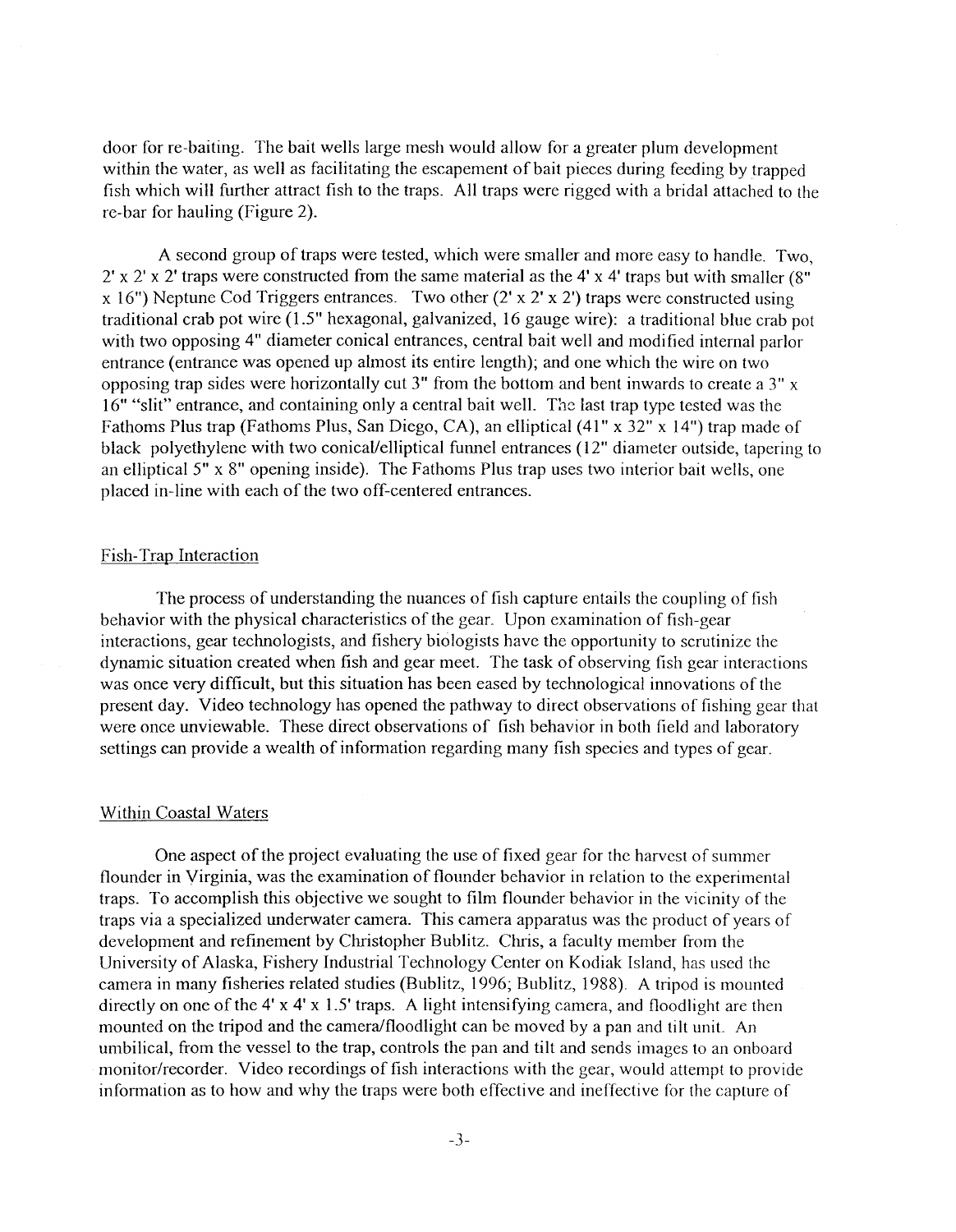door for re-baiting. The bait wells large mesh would allow for a greater plum development within the water, as well as facilitating the escapement of bait pieces during feeding by trapped fish which will further attract fish to the traps. All traps were rigged with a bridal attached to the re-bar for hauling (Figure 2).

A second group of traps were tested, which were smaller and more easy to handle. Two,  $2'$  x  $2'$  x  $2'$  traps were constructed from the same material as the 4' x 4' traps but with smaller (8") x 16") Neptune Cod Triggers entrances. Two other  $(2' \times 2' \times 2')$  traps were constructed using traditional crab pot wire (1.5" hexagonal, galvanized, 16 gauge wire): a traditional blue crab pot with two opposing 4" diameter conical entrances, central bait well and modified internal parlor entrance (entrance was opened up almost its entire length); and one which the wire on two opposing trap sides were horizontally cut 3" from the bottom and bent inwards to create a 3" x 16" "slit" entrance, and containing only a central bait well. The last trap type tested was the Fathoms Plus trap (Fathoms Plus, San Diego, CA), an elliptical (41" x 32" x 14") trap made of black polyethylene with two conical/elliptical funnel entrances (12" diameter outside, tapering to an elliptical 5" x 8" opening inside). The Fathoms Plus trap uses two interior bait wells, one placed in-line with each of the two off-centered entrances.

#### Fish-Trap Interaction

The process of understanding the nuances of fish capture entails the coupling of fish behavior with the physical characteristics of the gear. Upon examination of fish-gear interactions, gear technologists, and fishery biologists have the opportunity to scrutinize the dynamic situation created when fish and gear meet. The task of observing fish gear interactions was once very difficult, but this situation has been eased by technological innovations of the present day. Video technology has opened the pathway to direct observations of fishing gear that were once unviewable. These direct observations of fish behavior in both field and laboratory settings can provide a wealth of information regarding many fish species and types of gear.

#### Within Coastal Waters

One aspect of the project evaluating the use of fixed gear for the harvest of summer flounder in Virginia, was the examination of flounder behavior in relation to the experimental traps. To accomplish this objective we sought to film flounder behavior in the vicinity of the traps via a specialized underwater camera. This camera apparatus was the product of years of development and refinement by Christopher Bublitz. Chris, a faculty member from the University of Alaska, Fishery Industrial Technology Center on Kodiak Island, has used the camera in many fisheries related studies (Bublitz, 1996; Bublitz, 1988). A tripod is mounted directly on one of the 4' x 4' x 1.5' traps. A light intensifying camera, and floodlight are then mounted on the tripod and the camera/floodlight can be moved by a pan and tilt unit. An umbilical, from the vessel to the trap, controls the pan and tilt and sends images to an onboard monitor/recorder. Video recordings of fish interactions with the gear, would attempt to provide infonnation as to how and why the traps were both effective and ineffective for the capture of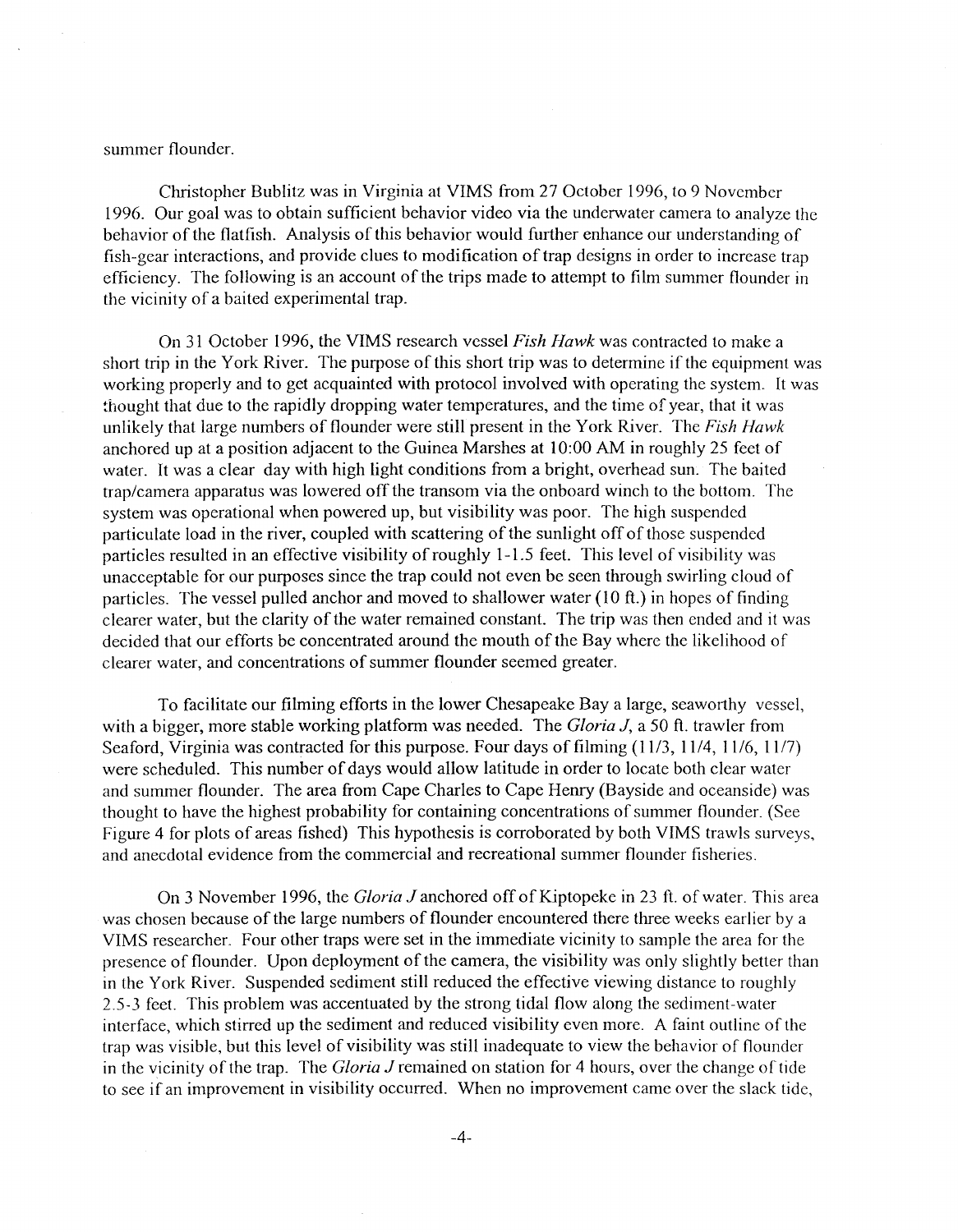summer flounder.

Christopher Bublitz was in Virginia at VIMS from 27 October 1996, to 9 November 1996. Our goal was to obtain sufficient behavior video via the underwater camera to analyze the behavior of the flatfish. Analysis of this behavior would further enhance our understanding of fish-gear interactions, and provide clues to modification of trap designs in order to increase trap efficiency. The following is an account of the trips made to attempt to film summer flounder in the vicinity of a baited experimental trap.

On 31 October 1996, the VIMS research vessel *Fish Hawk* was contracted to make a short trip in the York River. The purpose of this short trip was to determine if the equipment was working properly and to get acquainted with protocol involved with operating the system. It was thought that due to the rapidly dropping water temperatures, and the time of year, that it was unlikely that large numbers of flounder were still present in the York River. The *Fish Hawk*  anchored up at a position adjacent to the Guinea Marshes at 10:00 AM in roughly 25 feet of water. It was a clear day with high light conditions from a bright, overhead sun. The baited trap/camera apparatus was lowered off the transom via the onboard winch to the bottom. The system was operational when powered up, but visibility was poor. The high suspended particulate load in the river, coupled with scattering of the sunlight off of those suspended particles resulted in an effective visibility of roughly 1-1.5 feet. This level of visibility was unacceptable for our purposes since the trap could not even be seen through swirling cloud of particles. The vessel pulled anchor and moved to shallower water ( 10 ft.) in hopes of finding clearer water, but the clarity of the water remained constant. The trip was then ended and it was decided that our efforts be concentrated around the mouth of the Bay where the likelihood of clearer water, and concentrations of summer flounder seemed greater.

To facilitate our filming efforts in the lower Chesapeake Bay a large, seaworthy vessel, with a bigger, more stable working platform was needed. The *Gloria* J, a 50 ft. trawler from Seaford, Virginia was contracted for this purpose. Four days of filming (11/3, 11/4, 11/6, 11/7) were scheduled. This number of days would allow latitude in order to locate both clear water and summer flounder. The area from Cape Charles to Cape Henry (Bayside and oceanside) was thought to have the highest probability for containing concentrations of summer flounder. (See Figure 4 for plots of areas fished) This hypothesis is corroborated by both VIMS trawls surveys, and anecdotal evidence from the commercial and recreational summer flounder fisheries.

On 3 November 1996, the *Gloria J* anchored off of Kiptopeke in 23 fi. of water. This area was chosen because of the large numbers of flounder encountered there three weeks earlier by a VIMS researcher. Four other traps were set in the immediate vicinity to sample the area for the presence of flounder. Upon deployment of the camera, the visibility was only slightly better than in the York River. Suspended sediment still reduced the effective viewing distance to roughly 2.5-3 feet. This problem was accentuated by the strong tidal flow along the sediment-water interface, which stirred up the sediment and reduced visibility even more. A faint outline of the trap was visible, but this level of visibility was still inadequate to view the behavior of flounder in the vicinity of the trap. The *Gloria J* remained on station for 4 hours, over the change of tide to see if an improvement in visibility occurred. When no improvement came over the slack tide,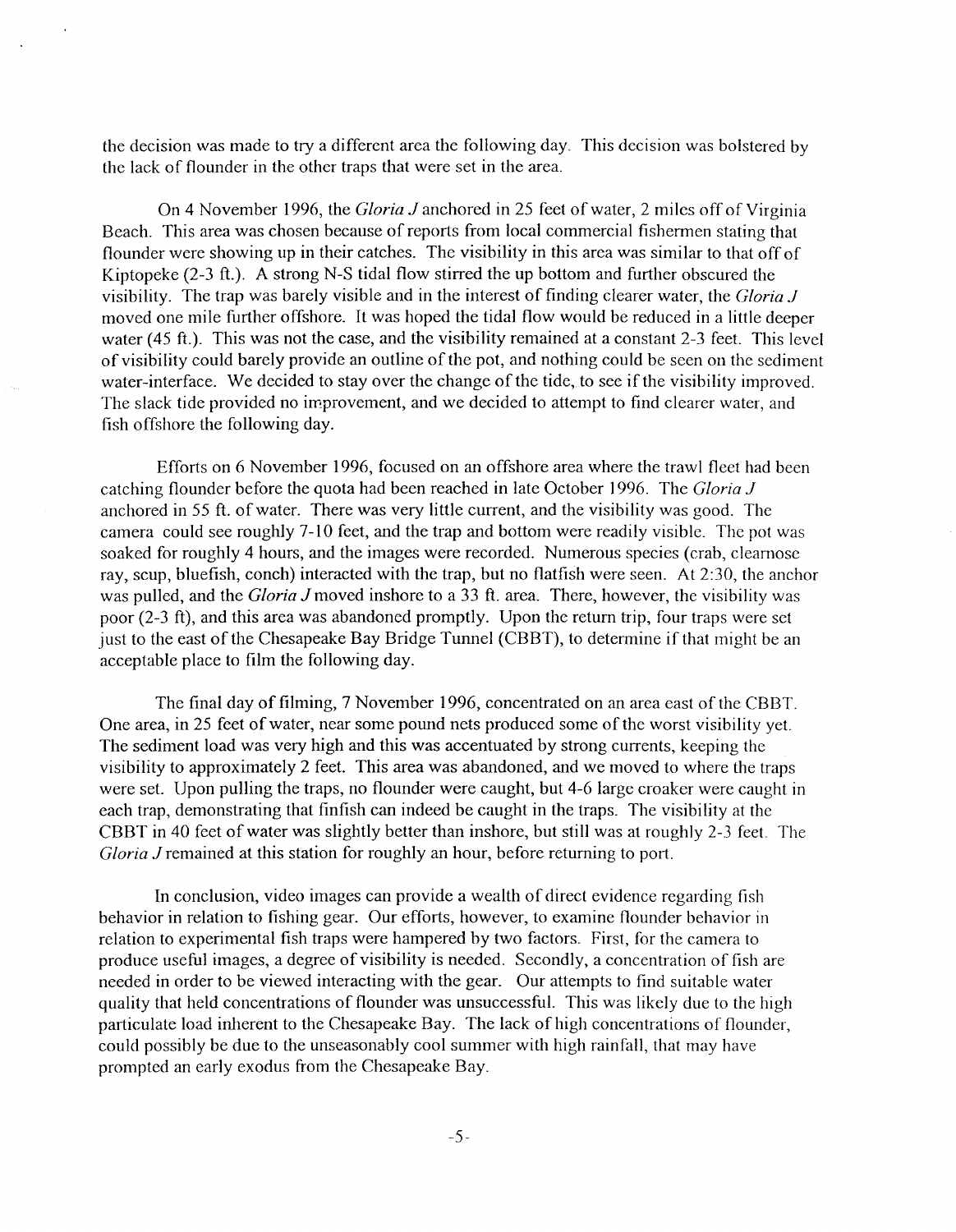the decision was made to try a different area the following day. This decision was bolstered by the lack of flounder in the other traps that were set in the area.

On 4 November 1996, the *Gloria J* anchored in 25 feet of water, 2 miles off of Virginia Beach. This area was chosen because of reports from local commercial fishermen stating that flounder were showing up in their catches. The visibility in this area was similar to that off of Kiptopeke (2-3 ft.). A strong N-S tidal flow stirred the up bottom and further obscured the visibility. The trap was barely visible and in the interest of finding clearer water, the *Gloria J*  moved one mile further offshore. It was hoped the tidal flow would be reduced in a little deeper water (45 ft.). This was not the case, and the visibility remained at a constant 2-3 feet. This level of visibility could barely provide an outline of the pot, and nothing could be seen on the sediment water-interface. We decided to stay over the change of the tide, to see if the visibility improved. The slack tide provided no improvement, and we decided to attempt to find clearer water, and fish offshore the following day.

Efforts on 6 November 1996, focused on an offshore area where the trawl fleet had been catching flounder before the quota had been reached in late October 1996. The *Gloria J*  anchored in 55 ft. of water. There was very little current, and the visibility was good. The camera could see roughly 7-10 feet, and the trap and bottom were readily visible. The pot was soaked for roughly 4 hours, and the images were recorded. Numerous species (crab, clearnose ray, scup, bluefish, conch) interacted with the trap, but no flatfish were seen. At 2:30, the anchor was pulled, and the *Gloria J* moved inshore to a 33 ft. area. There, however, the visibility was poor (2-3 ft), and this area was abandoned promptly. Upon the return trip, four traps were set just to the east of the Chesapeake Bay Bridge Tunnel (CBBT), to determine if that might be an acceptable place to film the following day.

The final day of filming, 7 November 1996, concentrated on an area east of the CBBT. One area, in 25 feet of water, near some pound nets produced some of the worst visibility yet The sediment load was very high and this was accentuated by strong currents, keeping the visibility to approximately 2 feet. This area was abandoned, and we moved to where the traps were set. Upon pulling the traps, no flounder were caught, but 4-6 large croaker were caught in each trap, demonstrating that finfish can indeed be caught in the traps. The visibility at the CBBT in 40 feet of water was slightly better than inshore, but still was at roughly 2-3 feet. The *Gloria J* remained at this station for roughly an hour, before returning to port.

In conclusion, video images can provide a wealth of direct evidence regarding fish behavior in relation to fishing gear. Our efforts, however, to examine flounder behavior in relation to experimental fish traps were hampered by two factors. First, for the camera to produce useful images, a degree of visibility is needed. Secondly, a concentration of fish are needed in order to be viewed interacting with the gear. Our attempts to find suitable water quality that held concentrations of flounder was unsuccessful. This was likely due to the high particulate load inherent to the Chesapeake Bay. The lack of high concentrations of flounder, could possibly be due to the unseasonably cool summer with high rainfall, that may have prompted an early exodus from the Chesapeake Bay.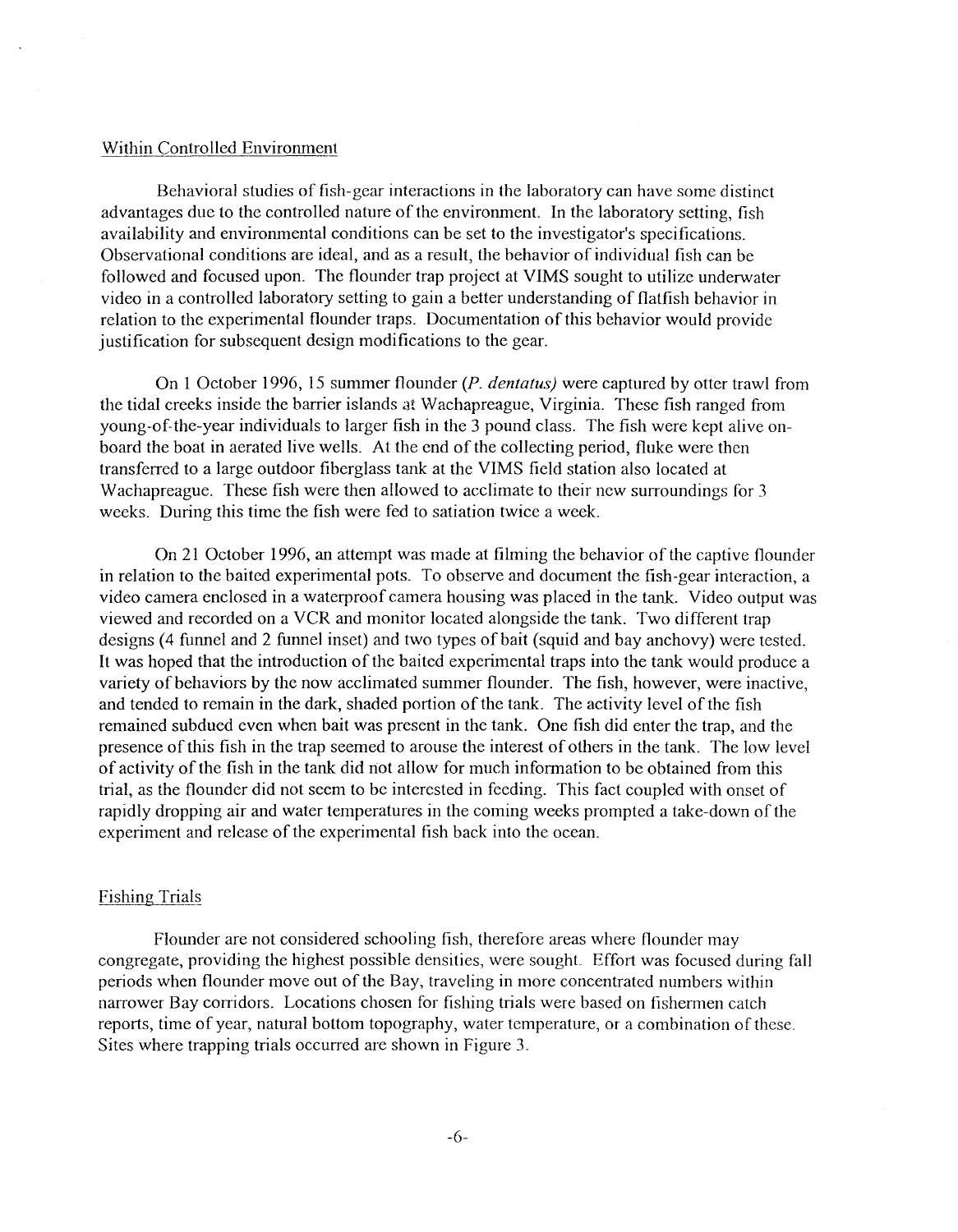#### Within Controlled Environment

Behavioral studies of fish-gear interactions in the laboratory can have some distinct advantages due to the controlled nature of the environment. In the laboratory setting, fish availability and environmental conditions can be set to the investigator's specifications. Observational conditions are ideal, and as a result, the behavior of individual fish can be followed and focused upon. The flounder trap project at VIMS sought to utilize underwater video in a controlled laboratory setting to gain a better understanding of flatfish behavior in relation to the experimental flounder traps. Documentation of this behavior would provide justification for subsequent design modifications to the gear.

On 1 October 1996, 15 summer flounder *(P. dentatus)* were captured by otter trawl from the tidal creeks inside the barrier islands at Wachapreague, Virginia. These fish ranged from young-of the-year individuals to larger fish in the 3 pound class. The fish were kept alive onboard the boat in aerated live wells. At the end of the collecting period, fluke were then transferred to a large outdoor fiberglass tank at the VIMS field station also located at Wachapreague. These fish were then allowed to acclimate to their new surroundings for 3 weeks. During this time the fish were fed to satiation twice a week.

On 21 October 1996, an attempt was made at filming the behavior of the captive flounder in relation to the baited experimental pots. To observe and document the fish-gear interaction, a video camera enclosed in a waterproof camera housing was placed in the tank. Video output was viewed and recorded on a VCR and monitor located alongside the tank. Two different trap designs (4 funnel and 2 funnel inset) and two types of bait (squid and bay anchovy) were tested. It was hoped that the introduction of the baited experimental traps into the tank would produce a variety of behaviors by the now acclimated summer flounder. The fish, however, were inactive, and tended to remain in the dark, shaded portion of the tank. The activity level of the fish remained subdued even when bait was present in the tank. One fish did enter the trap, and the presence of this fish in the trap seemed to arouse the interest of others in the tank. The low level of activity of the fish in the tank did not allow for much information to be obtained from this trial, as the flounder did not seem to be interested in feeding. This fact coupled with onset of rapidly dropping air and water temperatures in the coming weeks prompted a take-down of the experiment and release of the experimental fish back into the ocean.

#### Fishing Trials

Flounder are not considered schooling fish, therefore areas where flounder may congregate, providing the highest possible densities, were sought Effort was focused during fall periods when flounder move out of the Bay, traveling in more concentrated numbers within narrower Bay corridors. Locations chosen for fishing trials were based on fishermen catch reports, time of year, natural bottom topography, water temperature, or a combination of these. Sites where trapping trials occurred are shown in Figure 3.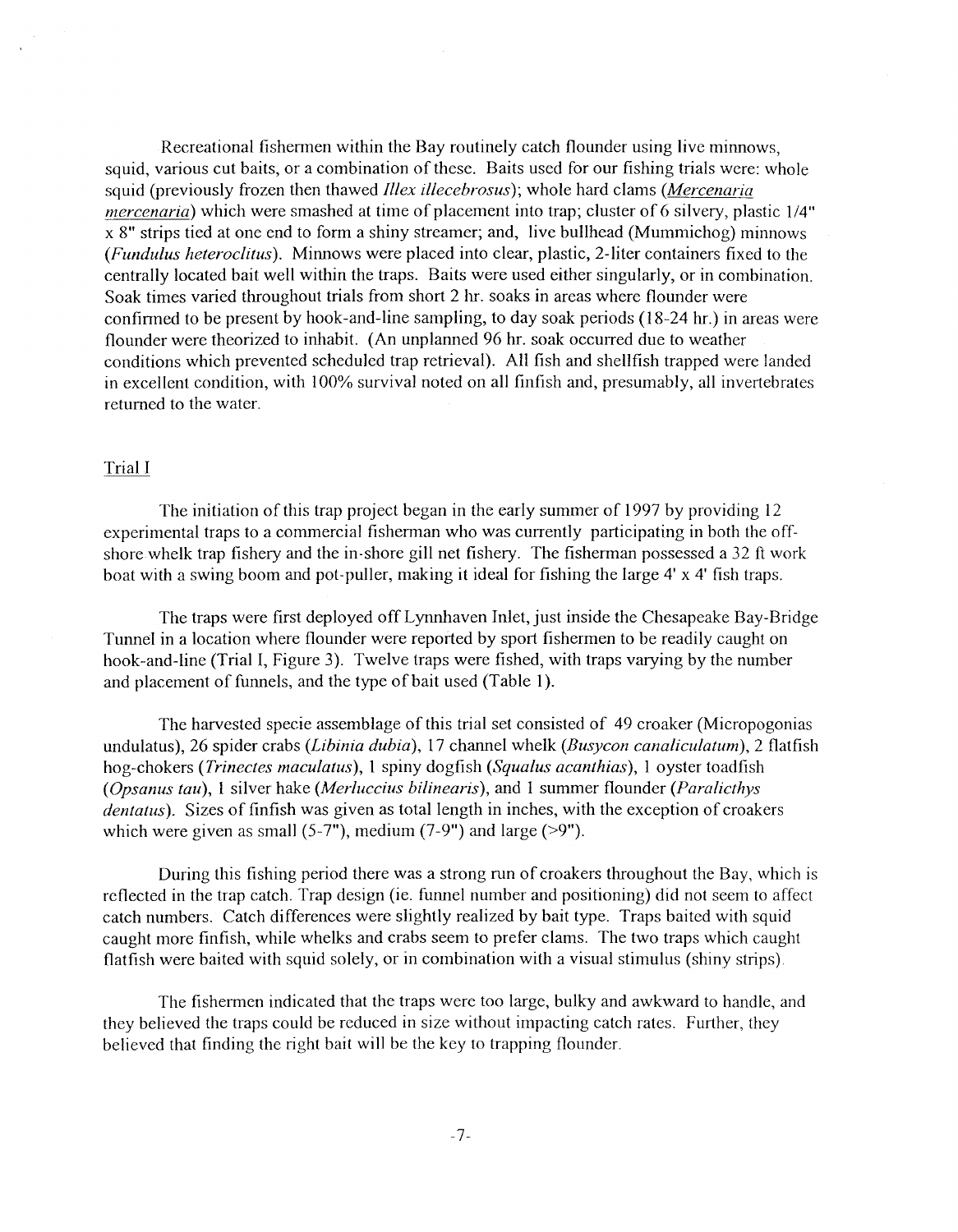Recreational fishermen within the Bay routinely catch flounder using live minnows, squid, various cut baits, or a combination of these. Baits used for our fishing trials were: whole squid (previously frozen then thawed *Illex illecebrosus);* whole hard clams *(Mercenaria mercenaria*) which were smashed at time of placement into trap; cluster of 6 silvery, plastic 1/4" x 8" strips tied at one end to form a shiny streamer; and, live bullhead (Mummichog) minnows *(Fundulus heteroclitus).* Minnows were placed into clear, plastic, 2-liter containers fixed to the centrally located bait well within the traps. Baits were used either singularly, or in combination. Soak times varied throughout trials from short 2 hr. soaks in areas where flounder were confirmed to be present by hook-and-line sampling, to day soak periods (18-24 hr.) in areas were flounder were theorized to inhabit. (An unplanned 96 hr. soak occurred due to weather conditions which prevented scheduled trap retrieval). All fish and shellfish trapped were landed in excellent condition, with 100% survival noted on all finfish and, presumably, all invertebrates returned to the water.

#### Trial I

The initiation of this trap project began in the early summer of 1997 by providing 12 experimental traps to a commercial fisherman who was currently participating in both the offshore whelk trap fishery and the in-shore gill net fishery. The fisherman possessed a 32 ft work boat with a swing boom and pot-puller, making it ideal for fishing the large 4' x 4' fish traps.

The traps were first deployed off Lynnhaven Inlet, just inside the Chesapeake Bay-Bridge Tunnel in a location where flounder were reported by sport fishermen to be readily caught on hook-and-line (Trial I, Figure 3). Twelve traps were fished, with traps varying by the number and placement of funnels, and the type of bait used (Table 1).

The harvested specie assemblage of this trial set consisted of 49 croaker (Micropogonias undulatus), 26 spider crabs *(Libinia dubia),* 17 channel whelk *(Busycon canaliculatum),* 2 flatfish hog-chokers *(Trinectes maculatus),* 1 spiny dogfish *(Squalus acanthias),* 1 oyster toadfish *(Opsanus tau),* 1 silver hake *(Merluccius bilinearis),* and 1 summer flounder *(Paralicthys dentatus).* Sizes of finfish was given as total length in inches, with the exception of croakers which were given as small  $(5-7)$ , medium  $(7-9)$  and large  $(9)$ .

During this fishing period there was a strong run of croakers throughout the Bay, which is reflected in the trap catch. Trap design (ie. funnel number and positioning) did not seem to affect catch numbers. Catch differences were slightly realized by bait type. Traps baited with squid caught more finfish, while whelks and crabs seem to prefer clams. The two traps which caught flatfish were baited with squid solely, or in combination with a visual stimulus (shiny strips)

The fishermen indicated that the traps were too large, bulky and awkward to handle, and they believed the traps could be reduced in size without impacting catch rates. Further, they believed that finding the right bait will be the key to trapping flounder.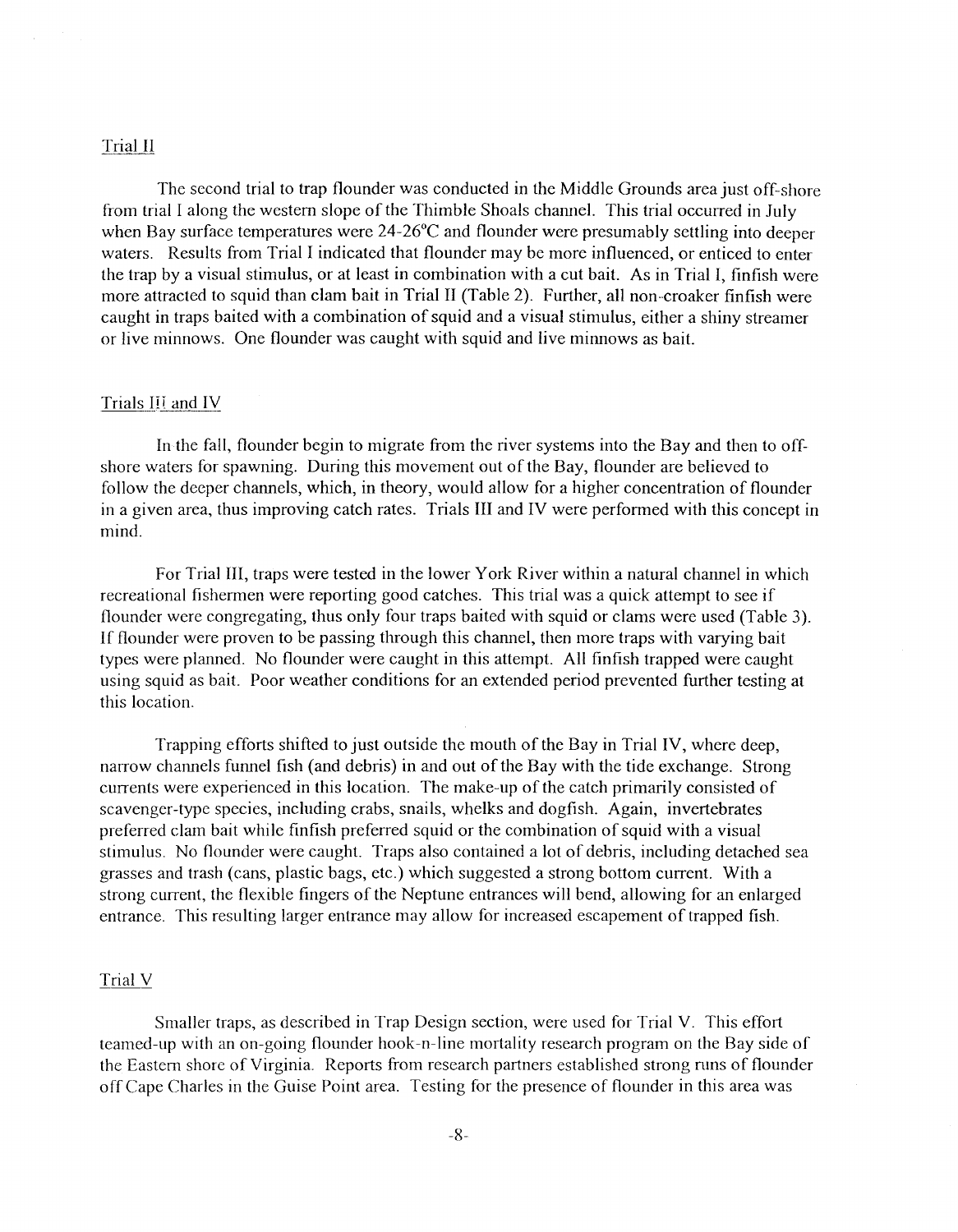#### Trial II

The second trial to trap flounder was conducted in the Middle Grounds area just off-shore from trial I along the western slope of the Thimble Shoals channel. This trial occurred in July when Bay surface temperatures were 24-26°C and flounder were presumably settling into deeper waters. Results from Trial I indicated that flounder may be more influenced, or enticed to enter the trap by a visual stimulus, or at least in combination with a cut bait. As in Trial I, finfish were more attracted to squid than clam bait in Trial II (Table 2). Further, all non--croaker finfish were caught in traps baited with a combination of squid and a visual stimulus, either a shiny streamer or live minnows. One flounder was caught with squid and live minnows as bait.

#### Trials III and IV

In the fall, flounder begin to migrate from the river systems into the Bay and then to offshore waters for spawning. During this movement out of the Bay, flounder are believed to follow the deeper channels, which, in theory, would allow for a higher concentration of flounder in a given area, thus improving catch rates. Trials III and IV were performed with this concept in mind.

For Trial III, traps were tested in the lower York River within a natural channel in which recreational fishermen were reporting good catches. This trial was a quick attempt to see if flounder were congregating, thus only four traps baited with squid or clams were used (Table 3). If flounder were proven to be passing through this channel, then more traps with varying bait types were planned. No flounder were caught in this attempt. All finfish trapped were caught using squid as bait. Poor weather conditions for an extended period prevented further testing at this location.

Trapping efforts shifted to just outside the mouth of the Bay in Trial IV, where deep, narrow channels funnel fish (and debris) in and out of the Bay with the tide exchange. Strong currents were experienced in this location. The make-up of the catch primarily consisted of scavenger-type species, including crabs, snails, whelks and dogfish. Again, invertebrates preferred clam bait while finfish preferred squid or the combination of squid with a visual stimulus. No flounder were caught. Traps also contained a lot of debris, including detached sea grasses and trash (cans, plastic bags, etc.) which suggested a strong bottom current. With a strong current, the flexible fingers of the Neptune entrances will bend, allowing for an enlarged entrance. This resulting larger entrance may allow for increased escapement of trapped fish.

#### Trial V

Smaller traps, as described in Trap Design section, were used for Trial V. This effort teamed-up with an on-going flounder hook-n-line mortality research program on the Bay side of the Eastern shore of Virginia. Reports from research partners established strong runs of flounder off Cape Charles in the Guise Point area. Testing for the presence of flounder in this area was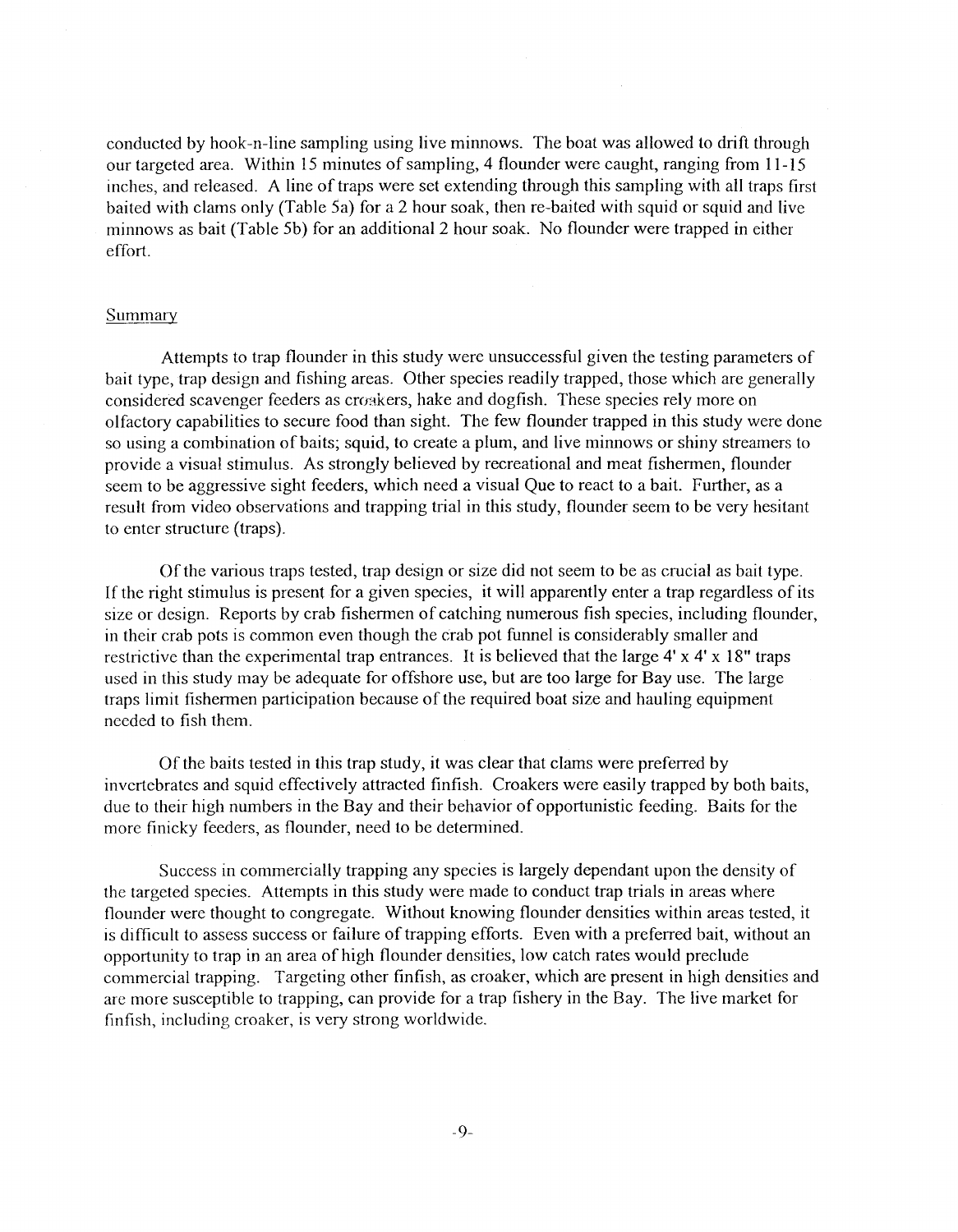conducted by hook-n-line sampling using live minnows. The boat was allowed to drift through our targeted area. Within 15 minutes of sampling, 4 flounder were caught, ranging from 11-15 inches, and released. A line of traps were set extending through this sampling with all traps first baited with clams only (Table 5a) for a 2 hour soak, then re-baited with squid or squid and live minnows as bait (Table 5b) for an additional 2 hour soak. No flounder were trapped in either effort.

#### Summary

Attempts to trap flounder in this study were unsuccessful given the testing parameters of bait type, trap design and fishing areas. Other species readily trapped, those which are generally considered scavenger feeders as croakers, hake and dogfish. These species rely more on olfactory capabilities to secure food than sight. The few flounder trapped in this study were done so using a combination of baits; squid, to create a plum, and live minnows or shiny streamers to provide a visual stimulus. As strongly believed by recreational and meat fishermen, flounder seem to he aggressive sight feeders, which need a visual Que to react to a bait. Further, as a result from video observations and trapping trial in this study, flounder seem to be very hesitant to enter structure (traps).

Of the various traps tested, trap design or size did not seem to be as crucial as bait type. If the right stimulus is present for a given species, it will apparently enter a trap regardless of its size or design. Reports by crab fishermen of catching numerous fish species, including flounder, in their crab pots is common even though the crab pot funnel is considerably smaller and restrictive than the experimental trap entrances. It is believed that the large 4' x 4' x 18" traps used in this study may he adequate for offshore use, but are too large for Bay use. The large traps limit fishermen participation because of the required boat size and hauling equipment needed to fish them.

Of the baits tested in this trap study, it was clear that clams were preferred by invertebrates and squid effectively attracted finfish. Croakers were easily trapped by both baits, due to their high numbers in the Bay and their behavior of opportunistic feeding. Baits for the more finicky feeders, as flounder, need to he determined.

Success in commercially trapping any species is largely dependant upon the density of the targeted species. Attempts in this study were made to conduct trap trials in areas where flounder were thought to congregate. Without knowing flounder densities within areas tested, it is difficult to assess success or failure of trapping efforts. Even with a preferred bait, without an opportunity to trap in an area of high flounder densities, low catch rates would preclude commercial trapping. Targeting other finfish, as croaker, which are present in high densities and arc more susceptible to trapping, can provide for a trap fishery in the Bay. The live market for finfish, including croaker, is very strong worldwide.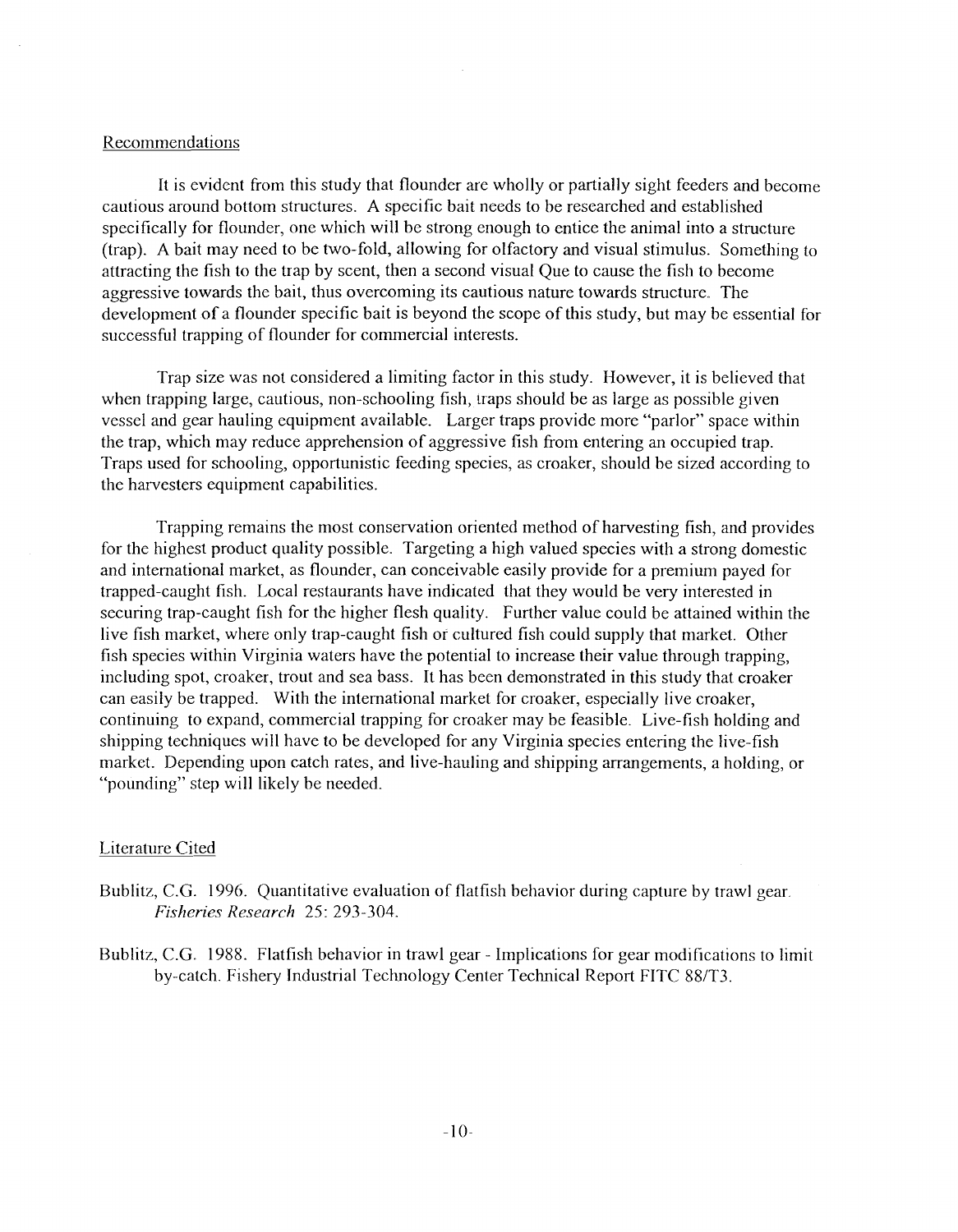#### Recommendations

It is evident from this study that flounder are wholly or partially sight feeders and become cautious around bottom structures. A specific bait needs to be researched and established specifically for flounder, one which will be strong enough to entice the animal into a structure (trap). A bait may need to be two-fold, allowing for olfactory and visual stimulus. Something to attracting the fish to the trap by scent, then a second visual Que to cause the fish to become aggressive towards the bait, thus overcoming its cautious nature towards structure. The development of a flounder specific bait is beyond the scope of this study, but may be essential for successful trapping of flounder for commercial interests.

Trap size was not considered a limiting factor in this study. However, it is believed that when trapping large, cautious, non-schooling fish, traps should be as large as possible given vessel and gear hauling equipment available. Larger traps provide more "parlor" space within the trap, which may reduce apprehension of aggressive fish from entering an occupied trap. Traps used for schooling, opportunistic feeding species, as croaker, should be sized according to the harvesters equipment capabilities.

Trapping remains the most conservation oriented method of harvesting fish, and provides for the highest product quality possible. Targeting a high valued species with a strong domestic and international market, as flounder, can conceivable easily provide for a premium payed for trapped-caught fish. Local restaurants have indicated that they would be very interested in securing trap-caught fish for the higher flesh quality. Further value could be attained within the live fish market, where only trap-caught fish or cultured fish could supply that market. Other fish species within Virginia waters have the potential to increase their value through trapping, including spot, croaker, trout and sea bass. It has been demonstrated in this study that croaker can easily be trapped. With the international market for croaker, especially live croaker, continuing to expand, commercial trapping for croaker may be feasible. Live-fish holding and shipping techniques will have to be developed for any Virginia species entering the live-fish market. Depending upon catch rates, and live-hauling and shipping arrangements, a holding, or "pounding" step will likely be needed.

#### Literature Cited

- Bublitz, C.G. 1996. Quantitative evaluation of flatfish behavior during capture by trawl gear. *Fisheries Research* 25: 293-304.
- Bublitz, C.G. 1988. Flatfish behavior in trawl gear Implications for gear modifications to limit by-catch. Fishery Industrial Technology Center Technical Report FITC 88/T3.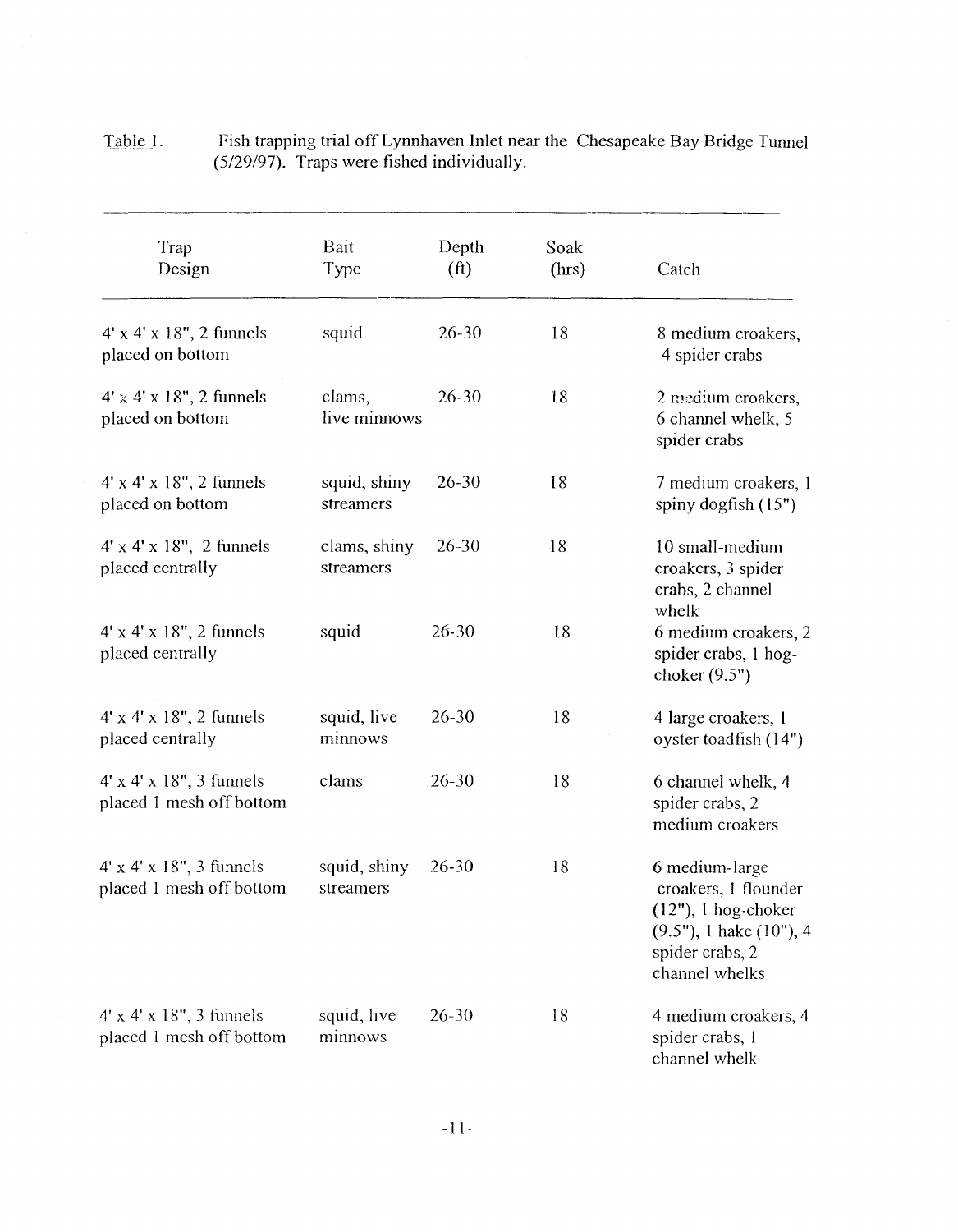| Trap<br>Design                                                     | Bait<br>Type              | Depth<br>(f <sub>t</sub> ) | Soak<br>(hrs) | Catch                                                                                                                                  |
|--------------------------------------------------------------------|---------------------------|----------------------------|---------------|----------------------------------------------------------------------------------------------------------------------------------------|
| $4' \times 4' \times 18''$ , 2 funnels<br>placed on bottom         | squid                     | $26 - 30$                  | 18            | 8 medium croakers,<br>4 spider crabs                                                                                                   |
| $4' \times 4' \times 18''$ , 2 funnels<br>placed on bottom         | clams,<br>live minnows    | $26 - 30$                  | 18            | 2 medium croakers,<br>6 channel whelk, 5<br>spider crabs                                                                               |
| $4' \times 4' \times 18''$ , 2 funnels<br>placed on bottom         | squid, shiny<br>streamers | $26 - 30$                  | 18            | 7 medium croakers, 1<br>spiny dogfish $(15")$                                                                                          |
| $4' \times 4' \times 18''$ , 2 funnels<br>placed centrally         | clams, shiny<br>streamers | $26 - 30$                  | 18            | 10 small-medium<br>croakers, 3 spider<br>crabs, 2 channel<br>whelk                                                                     |
| $4' \times 4' \times 18''$ , 2 funnels<br>placed centrally         | squid                     | $26 - 30$                  | 18            | 6 medium croakers, 2<br>spider crabs, 1 hog-<br>choker $(9.5")$                                                                        |
| $4' \times 4' \times 18''$ , 2 funnels<br>placed centrally         | squid, live<br>minnows    | $26 - 30$                  | 18            | 4 large croakers, 1<br>oyster toadfish (14")                                                                                           |
| $4' \times 4' \times 18''$ , 3 funnels<br>placed 1 mesh off bottom | clams                     | $26 - 30$                  | 18            | 6 channel whelk, 4<br>spider crabs, 2<br>medium croakers                                                                               |
| $4' \times 4' \times 18''$ , 3 funnels<br>placed 1 mesh off bottom | squid, shiny<br>streamers | $26 - 30$                  | 18            | 6 medium-large<br>croakers, 1 flounder<br>$(12")$ , 1 hog-choker<br>$(9.5")$ , 1 hake $(10")$ , 4<br>spider crabs, 2<br>channel whelks |
| $4' \times 4' \times 18''$ , 3 funnels<br>placed 1 mesh off bottom | squid, live<br>minnows    | $26 - 30$                  | 18            | 4 medium croakers, 4<br>spider crabs, 1<br>channel whelk                                                                               |

| <u>Table 1.</u> | Fish trapping trial off Lynnhaven Inlet near the Chesapeake Bay Bridge Tunnel |
|-----------------|-------------------------------------------------------------------------------|
|                 | $(5/29/97)$ . Traps were fished individually.                                 |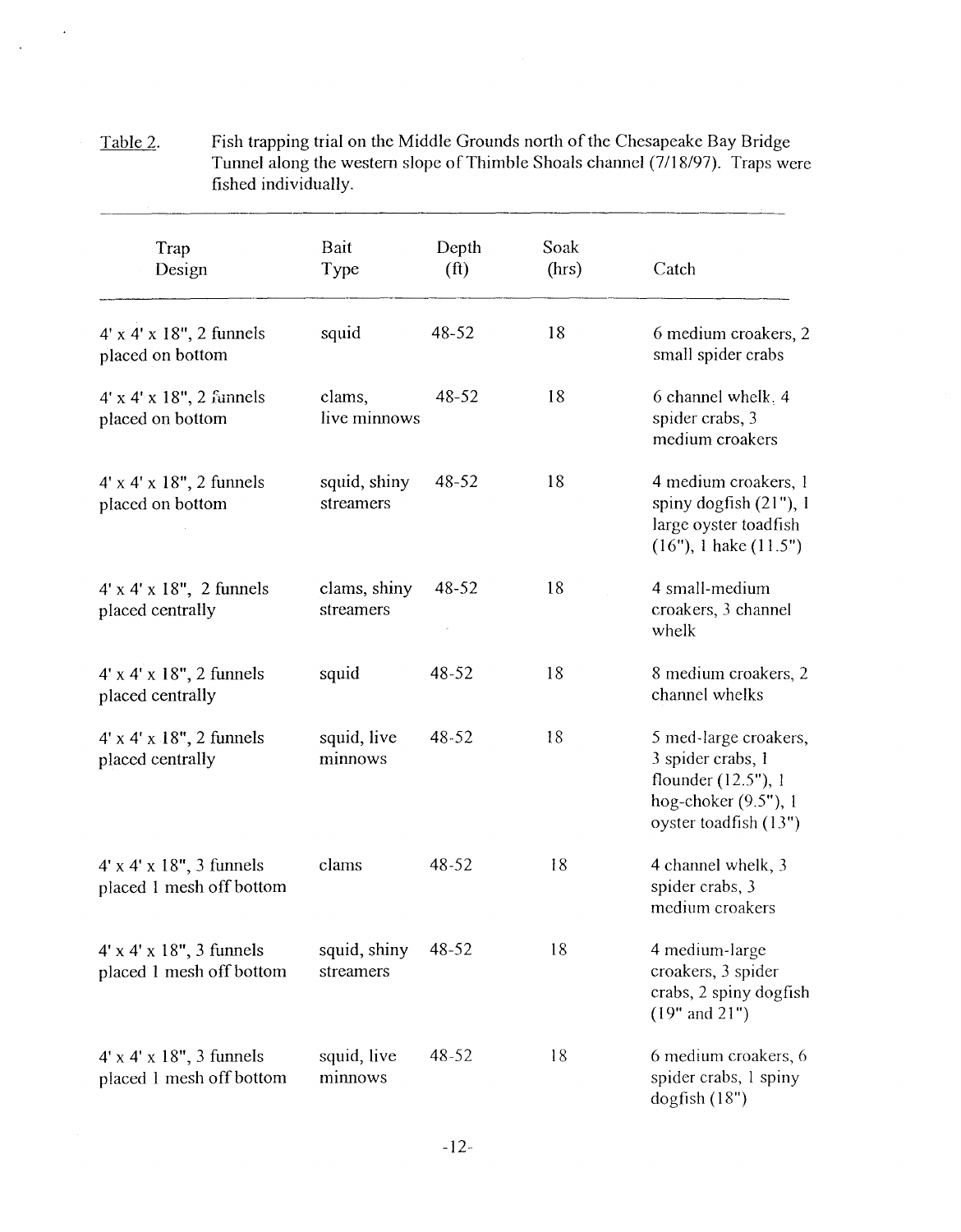| Trap<br>Design                                                     | Bait<br>Type              | Depth<br>(f <sup>t</sup> ) | Soak<br>(hrs) | Catch                                                                                                              |
|--------------------------------------------------------------------|---------------------------|----------------------------|---------------|--------------------------------------------------------------------------------------------------------------------|
| $4' \times 4' \times 18''$ , 2 funnels<br>placed on bottom         | squid                     | 48-52                      | 18            | 6 medium croakers, 2<br>small spider crabs                                                                         |
| $4' \times 4' \times 18''$ , 2 funnels<br>placed on bottom         | clams,<br>live minnows    | $48 - 52$                  | 18            | 6 channel whelk, 4<br>spider crabs, 3<br>medium croakers                                                           |
| $4' \times 4' \times 18''$ , 2 funnels<br>placed on bottom         | squid, shiny<br>streamers | $48 - 52$                  | 18            | 4 medium croakers, 1<br>spiny dogfish $(21")$ , 1<br>large oyster toadfish<br>$(16")$ , 1 hake $(11.5")$           |
| $4' \times 4' \times 18''$ , 2 funnels<br>placed centrally         | clams, shiny<br>streamers | 48-52                      | 18            | 4 small-medium<br>croakers, 3 channel<br>whelk                                                                     |
| $4' \times 4' \times 18''$ , 2 funnels<br>placed centrally         | squid                     | 48-52                      | 18            | 8 medium croakers, 2<br>channel whelks                                                                             |
| $4' \times 4' \times 18''$ , 2 funnels<br>placed centrally         | squid, live<br>minnows    | $48 - 52$                  | 18            | 5 med-large croakers,<br>3 spider crabs, 1<br>flounder (12.5"), 1<br>hog-choker (9.5"), 1<br>oyster toadfish (13") |
| $4' \times 4' \times 18''$ , 3 funnels<br>placed 1 mesh off bottom | clams                     | 48-52                      | 18            | 4 channel whelk, 3<br>spider crabs, 3<br>medium croakers                                                           |
| $4' \times 4' \times 18''$ , 3 funnels<br>placed 1 mesh off bottom | squid, shiny<br>streamers | 48-52                      | 18            | 4 medium-large<br>croakers, 3 spider<br>crabs, 2 spiny dogfish<br>$(19"$ and $21")$                                |
| $4' \times 4' \times 18''$ , 3 funnels<br>placed 1 mesh off bottom | squid, live<br>minnows    | 48-52                      | 18            | 6 medium croakers, 6<br>spider crabs, 1 spiny<br>$d$ ogfish $(18")$                                                |

Table 2. Fish trapping trial on the Middle Grounds north of the Chesapeake Bay Bridge Tunnel along the western slope of Thimble Shoals channel (7/18/97). Traps were fished individually.

 $\sim$   $\sim$ 

 $\mathcal{L}_{\mathbf{a}}$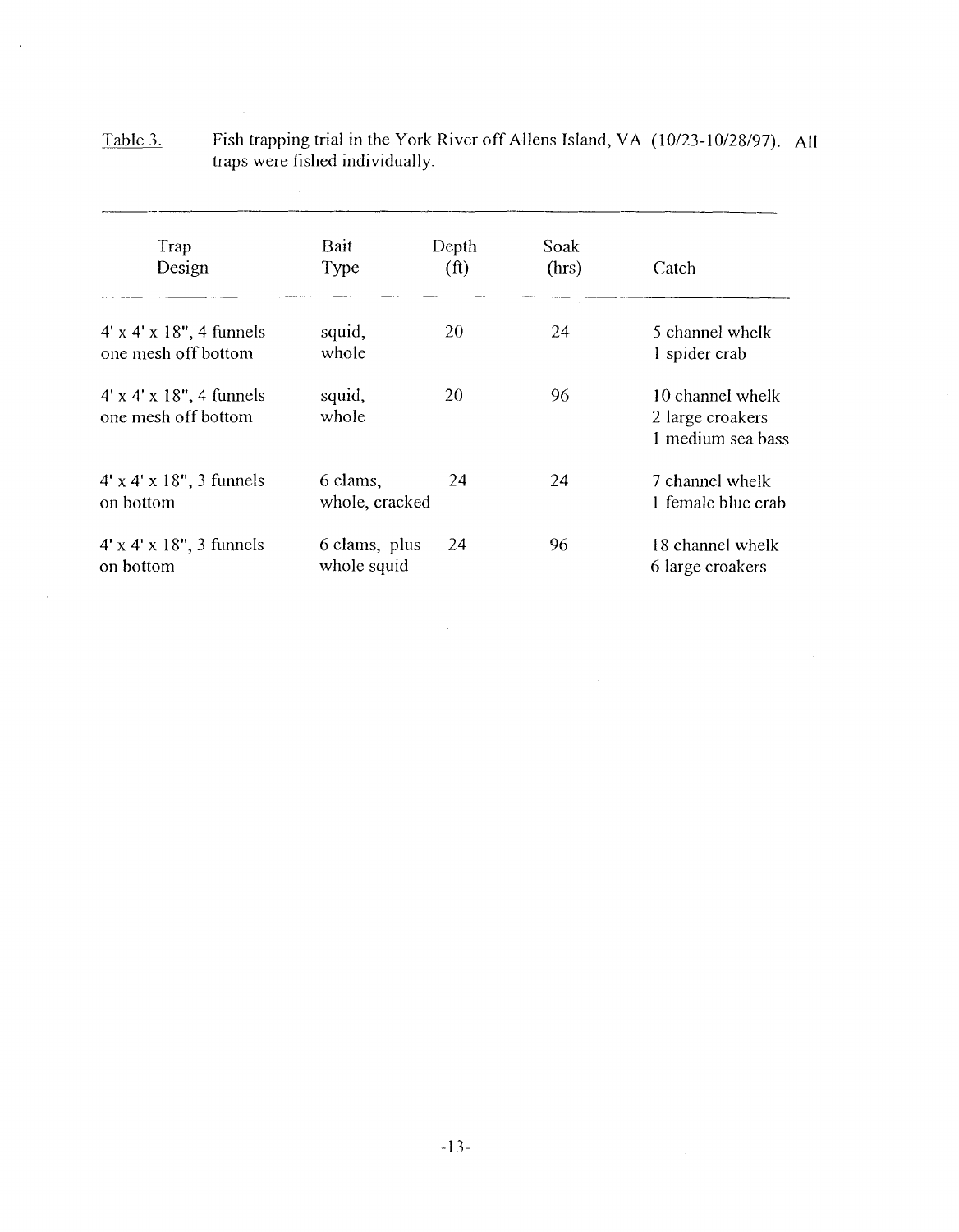| Trap<br>Design                                                | Bait<br>Type                 | Depth<br>(f <sup>t</sup> ) | Soak<br>(hrs) | Catch                                                     |  |
|---------------------------------------------------------------|------------------------------|----------------------------|---------------|-----------------------------------------------------------|--|
| $4' \times 4' \times 18''$ , 4 funnels<br>one mesh off bottom | squid,<br>whole              | 20                         | 24            | 5 channel whelk<br>1 spider crab                          |  |
| $4' \times 4' \times 18''$ , 4 funnels<br>one mesh off bottom | squid,<br>whole              | 20                         | 96            | 10 channel whelk<br>2 large croakers<br>1 medium sea bass |  |
| $4' \times 4' \times 18''$ , 3 funnels<br>on bottom           | 6 clams,<br>whole, cracked   | 24                         | 24            | 7 channel whelk<br>1 female blue crab                     |  |
| $4' \times 4' \times 18''$ , 3 funnels<br>on bottom           | 6 clams, plus<br>whole squid | 24                         | 96            | 18 channel whelk<br>6 large croakers                      |  |

 $\mathcal{L}^{\text{max}}_{\text{max}}$ 

| <u>Table 3.</u> | Fish trapping trial in the York River off Allens Island, VA (10/23-10/28/97). All |  |
|-----------------|-----------------------------------------------------------------------------------|--|
|                 | traps were fished individually.                                                   |  |

 $\frac{1}{2}$ 

 $\mathcal{L}_{\mathrm{eff}}$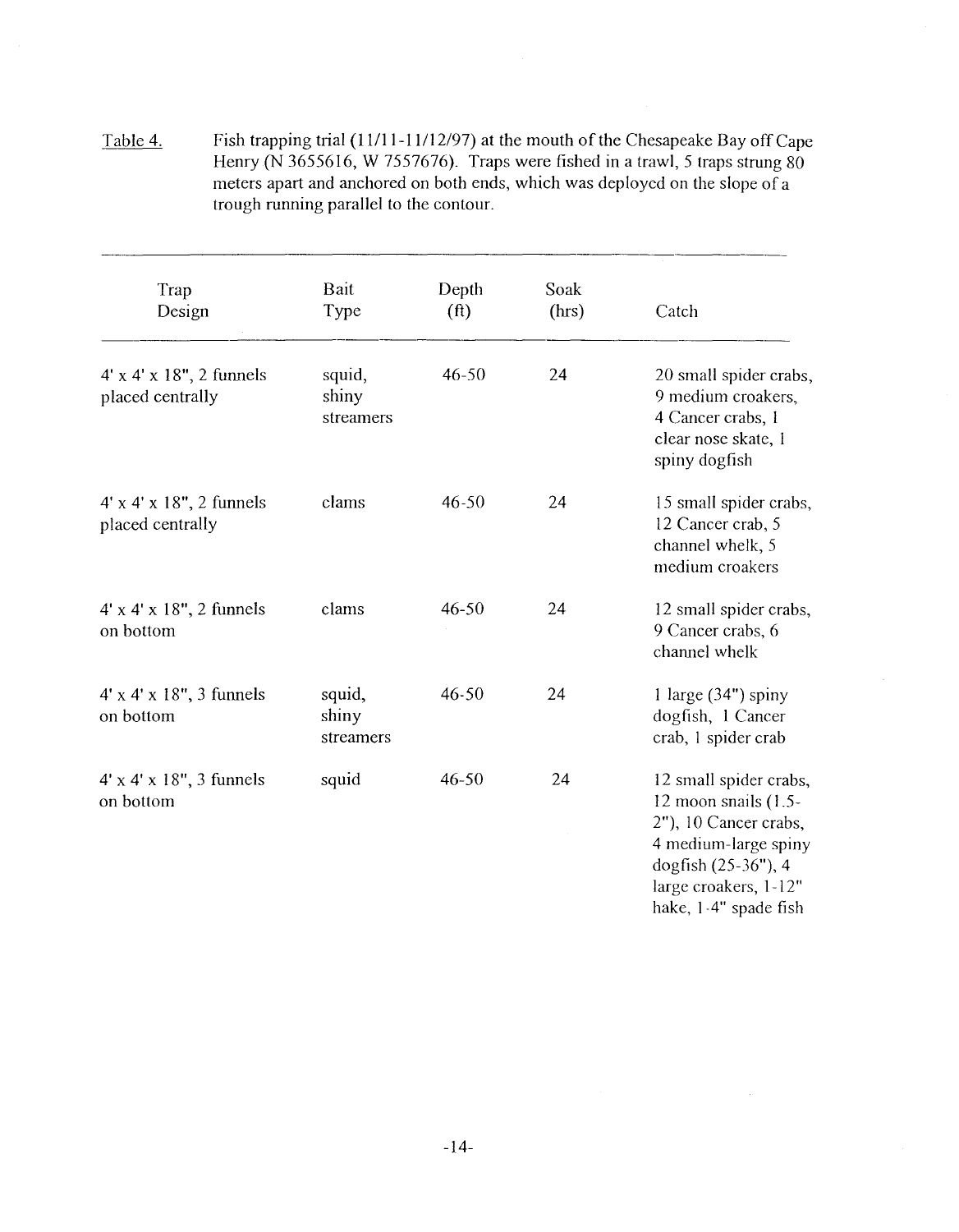Table 4. Fish trapping trial (11/11-11/12/97) at the mouth of the Chesapeake Bay off Cape Henry (N 3655616, W 7557676). Traps were fished in a trawl, 5 traps strung 80 meters apart and anchored on both ends, which was deployed on the slope of a trough running parallel to the contour.

| Trap<br>Design                                             | Bait<br>Type                 | Depth<br>(f <sup>t</sup> ) | Soak<br>(hrs) | Catch                                                                                                                     |
|------------------------------------------------------------|------------------------------|----------------------------|---------------|---------------------------------------------------------------------------------------------------------------------------|
| $4' \times 4' \times 18''$ , 2 funnels<br>placed centrally | squid,<br>shiny<br>streamers | $46 - 50$                  | 24            | 20 small spider crabs,<br>9 medium croakers,<br>4 Cancer crabs, 1<br>clear nose skate, 1<br>spiny dogfish                 |
| $4' \times 4' \times 18''$ , 2 funnels<br>placed centrally | clams                        | $46 - 50$                  | 24            | 15 small spider crabs,<br>12 Cancer crab, 5<br>channel whelk, 5<br>medium croakers                                        |
| $4' \times 4' \times 18''$ , 2 funnels<br>on bottom        | clams                        | $46 - 50$                  | 24            | 12 small spider crabs,<br>9 Cancer crabs, 6<br>channel whelk                                                              |
| $4' \times 4' \times 18''$ , 3 funnels<br>on bottom        | squid,<br>shiny<br>streamers | $46 - 50$                  | 24            | 1 large $(34")$ spiny<br>dogfish, 1 Cancer<br>crab, 1 spider crab                                                         |
| $4' \times 4' \times 18''$ , 3 funnels<br>on bottom        | squid                        | 46-50                      | 24            | 12 small spider crabs,<br>12 moon snails $(1.5 -$<br>2"), 10 Cancer crabs,<br>4 medium-large spiny<br>dogfish (25-36"), 4 |

large croakers, 1-12" hake, 1-4" spade fish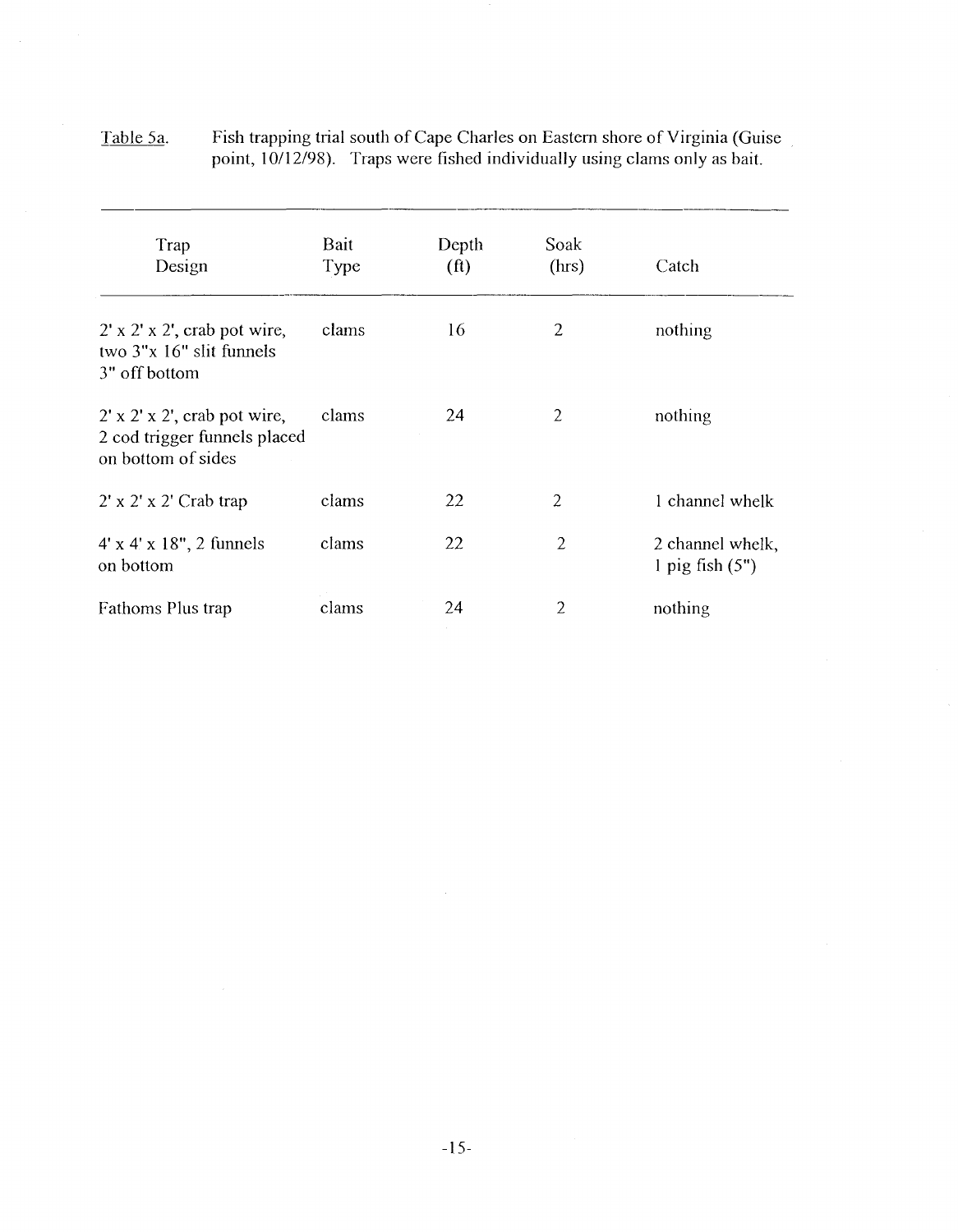| <u>Table 5a.</u> | Fish trapping trial south of Cape Charles on Eastern shore of Virginia (Guise) |
|------------------|--------------------------------------------------------------------------------|
|                  | point, 10/12/98). Traps were fished individually using clams only as bait.     |
|                  |                                                                                |

 $\frac{1}{\sqrt{2}}$ 

| Trap<br>Design                                                                                  | Bait<br>Type | Depth<br>(f <sup>t</sup> ) | Soak<br>(hrs)  | Catch                                 |
|-------------------------------------------------------------------------------------------------|--------------|----------------------------|----------------|---------------------------------------|
| $2' \times 2' \times 2'$ , crab pot wire,<br>two $3"x 16"$ slit funnels<br>3" off bottom        | clams        | 16                         | $\overline{2}$ | nothing                               |
| $2' \times 2' \times 2'$ , crab pot wire,<br>2 cod trigger funnels placed<br>on bottom of sides | clams        | 24                         | $\overline{2}$ | nothing                               |
| $2' \times 2' \times 2'$ Crab trap                                                              | clams        | 22                         | 2              | 1 channel whelk                       |
| $4' \times 4' \times 18''$ , 2 funnels<br>on bottom                                             | clams        | 22                         | $\overline{2}$ | 2 channel whelk,<br>l pig fish $(5")$ |
| Fathoms Plus trap                                                                               | clams        | 24                         | 2              | nothing                               |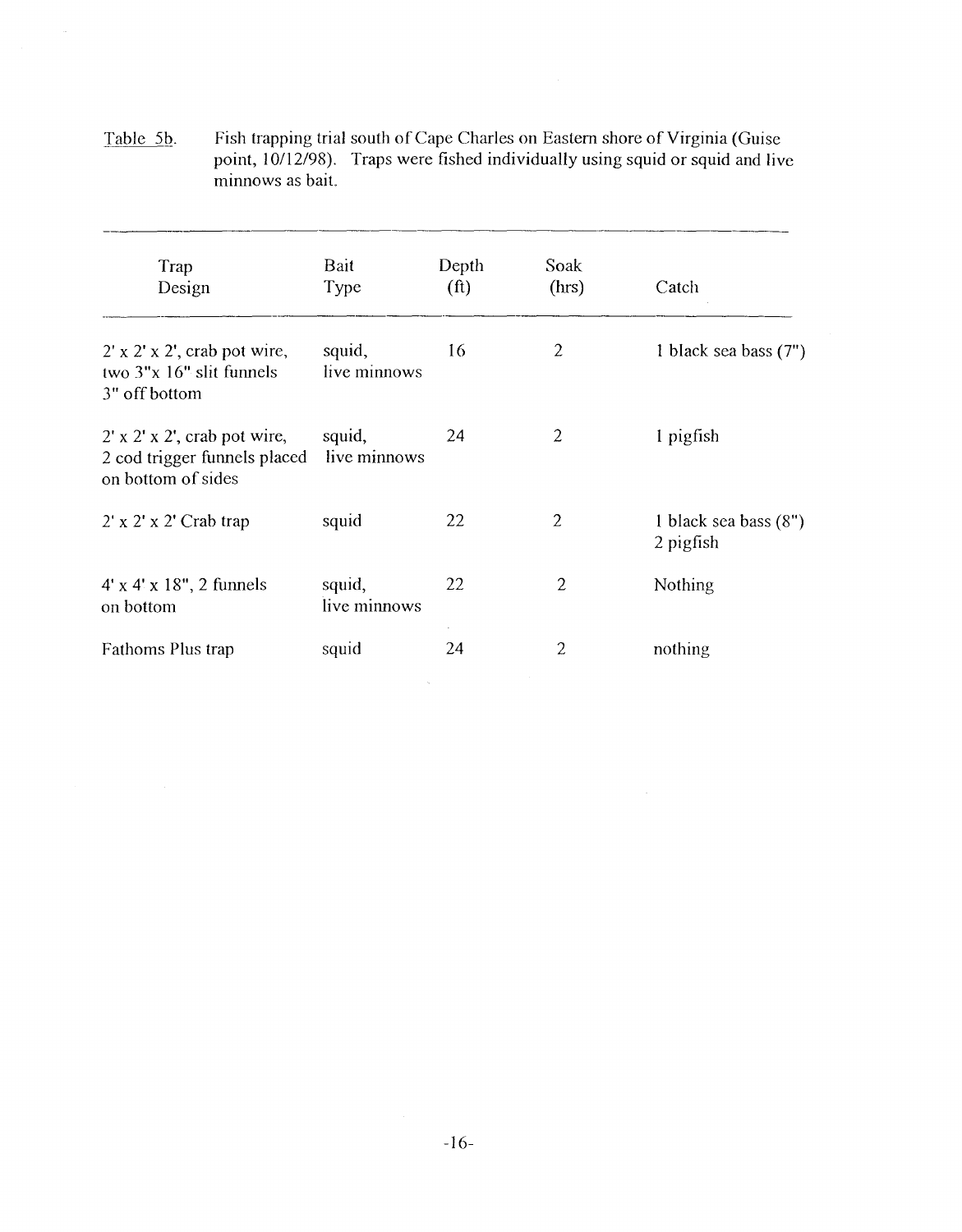Table 5b. Fish trapping trial south of Cape Charles on Eastern shore of Virginia (Guise point, 10/12/98). Traps were fished individually using squid or squid and live minnows as bait.

| Trap<br>Design                                                                                  | Bait<br>Type           | Depth<br>(f <sup>t</sup> ) | Soak<br>(hrs)  | Catch                                |
|-------------------------------------------------------------------------------------------------|------------------------|----------------------------|----------------|--------------------------------------|
| $2' \times 2' \times 2'$ , crab pot wire,<br>two $3"x 16"$ slit funnels<br>3" off bottom        | squid,<br>live minnows | 16                         | $\overline{2}$ | 1 black sea bass (7")                |
| $2' \times 2' \times 2'$ , crab pot wire,<br>2 cod trigger funnels placed<br>on bottom of sides | squid,<br>live minnows | 24                         | $\overline{2}$ | 1 pigfish                            |
| 2' x 2' x 2' Crab trap                                                                          | squid                  | 22                         | $\overline{2}$ | 1 black sea bass $(8")$<br>2 pigfish |
| $4' \times 4' \times 18''$ , 2 funnels<br>on bottom                                             | squid,<br>live minnows | 22                         | $\overline{2}$ | Nothing                              |
| Fathoms Plus trap                                                                               | squid                  | 24                         | 2              | nothing                              |

 $\label{eq:1} \frac{1}{\sqrt{2\pi}}\sum_{i=1}^n\frac{1}{\sqrt{2\pi}}\left(\frac{1}{\sqrt{2\pi}}\right)^2\left(\frac{1}{\sqrt{2\pi}}\right)^2\left(\frac{1}{\sqrt{2\pi}}\right)^2\left(\frac{1}{\sqrt{2\pi}}\right)^2.$